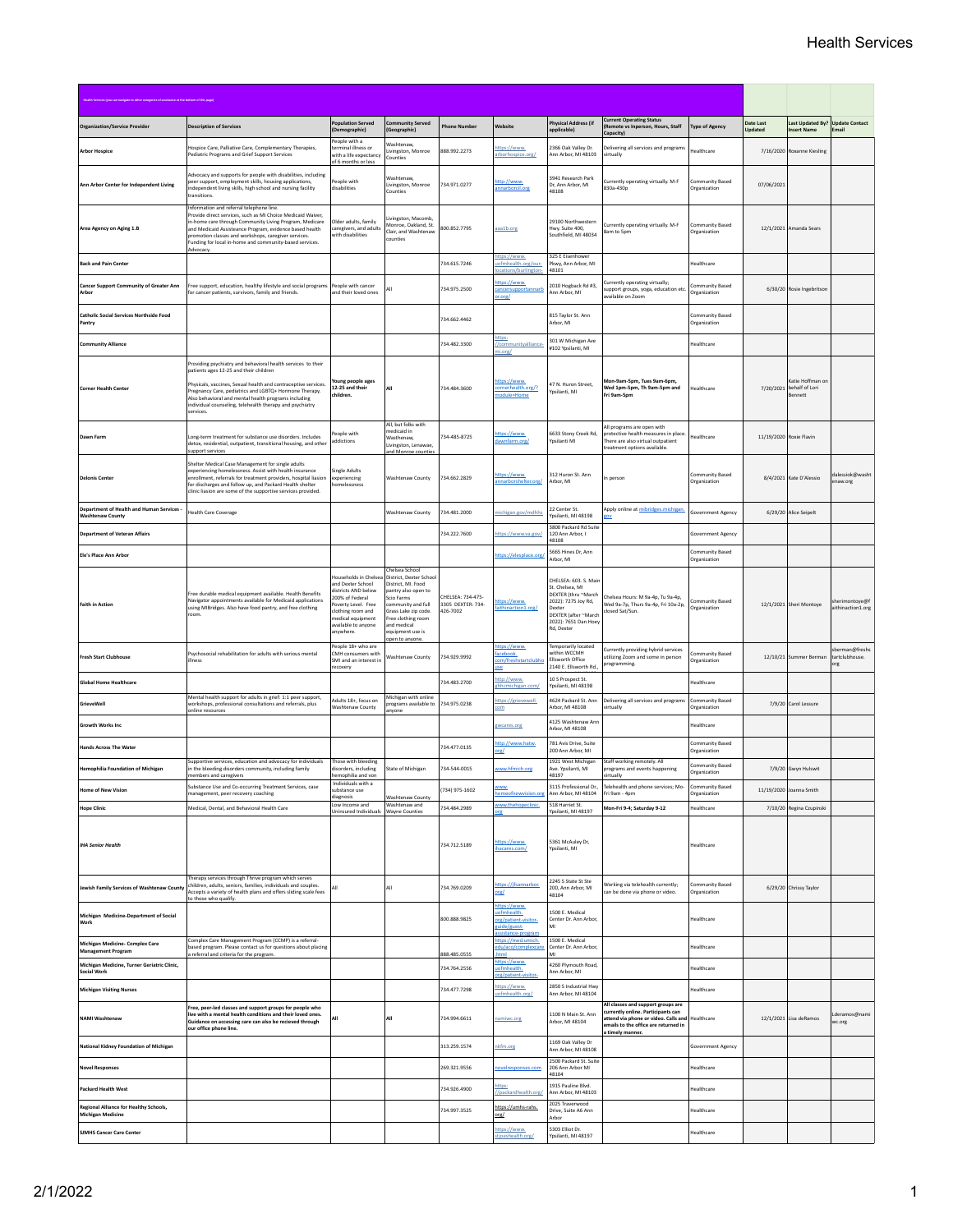|                                                                      |                                                                                                                                                                                                                                                                                                                                                                     | <b>Population Served</b>                                                                                                                                                                 | <b>Community Served</b>                                                                                                                                                                                                       |                                                   |                                                                                         | <b>Physical Address (if</b>                                                                                                                                                           | <b>Current Operating Status</b>                                                                                                                         |                                 | Date Last               | Last Updated By? Update Contact                         |                                        |
|----------------------------------------------------------------------|---------------------------------------------------------------------------------------------------------------------------------------------------------------------------------------------------------------------------------------------------------------------------------------------------------------------------------------------------------------------|------------------------------------------------------------------------------------------------------------------------------------------------------------------------------------------|-------------------------------------------------------------------------------------------------------------------------------------------------------------------------------------------------------------------------------|---------------------------------------------------|-----------------------------------------------------------------------------------------|---------------------------------------------------------------------------------------------------------------------------------------------------------------------------------------|---------------------------------------------------------------------------------------------------------------------------------------------------------|---------------------------------|-------------------------|---------------------------------------------------------|----------------------------------------|
| <b>Organization/Service Provider</b>                                 | <b>Description of Services</b>                                                                                                                                                                                                                                                                                                                                      | (Demographic)<br>People with a                                                                                                                                                           | (Geographic)                                                                                                                                                                                                                  | <b>Phone Number</b>                               | Nebsite                                                                                 | applicable)                                                                                                                                                                           | Remote vs Inperson, Hours, Staff<br>Capacity)                                                                                                           | <b>Type of Agency</b>           | Updated                 | nsert Name                                              |                                        |
| <b>Arbor Hospice</b>                                                 | Hospice Care, Palliative Care, Complementary Therapies,<br>Pediatric Programs and Grief Support Services                                                                                                                                                                                                                                                            | terminal illness or<br>with a life expectancy<br>of 6 months or less                                                                                                                     | Washtenaw,<br>Livingston, Monroe<br>Counties                                                                                                                                                                                  | 888.992.2273                                      | ttps://www.<br>rborhospice.org/                                                         | 2366 Oak Valley Dr.<br>Ann Arbor, MI 48103                                                                                                                                            | elivering all services and programs<br>virtually                                                                                                        | Healthcare                      |                         | 7/16/2020 Roxanne Kiesling                              |                                        |
| Ann Arbor Center for Independent Living                              | Advocacy and supports for people with disabilities, including<br>peer support, employment skills, housing applications,<br>ndependent living skills, high school and nursing facility<br>ransitions                                                                                                                                                                 | People with<br>disabilities                                                                                                                                                              | Washtenaw,<br>Livingston, Monroe<br>Counties                                                                                                                                                                                  | 734 971 0277                                      | tto://www.<br>innarborcil.org                                                           | 3941 Research Park<br>Dr, Ann Arbor, MI<br>48108                                                                                                                                      | Currently operating virtually. M-F<br>830a-430p                                                                                                         | Community Based<br>Organization | 07/06/2021              |                                                         |                                        |
| Area Agency on Aging 1.B                                             | Information and referral telephone line.<br>Provide direct services, such as MI Choice Medicaid Waiver,<br>in-home care through Community Living Program, Medicare<br>and Medicaid Assisteance Program, evidence based health<br>promotion classes and workshops, caregiver services.<br>Funding for local in-home and community-based services.<br>Advocacy        | Older adults, family<br>caregivers, and adults<br>with disabilities                                                                                                                      | Livingston, Macomb,<br>Monroe, Oakland, St.<br>Clair, and Washtenaw<br>ounties                                                                                                                                                | 800.852.7795                                      | aaa1b.org                                                                               | 29100 Northwestern<br>Hwy. Suite 400,<br>Southfield, MI 48034                                                                                                                         | Iurrently operating virtually. M-F<br>8am to 5pm                                                                                                        | Community Based<br>Organization |                         | 12/1/2021 Amanda Sears                                  |                                        |
| <b>Back and Pain Center</b>                                          |                                                                                                                                                                                                                                                                                                                                                                     |                                                                                                                                                                                          |                                                                                                                                                                                                                               | 734.615.7246                                      | ttps://www.<br>ofmhealth.org/our<br>cations/burlington                                  | 325 E Eisenhower<br>Pkwy, Ann Arbor, MI<br>48101                                                                                                                                      |                                                                                                                                                         | tealthcare                      |                         |                                                         |                                        |
| <b>Cancer Support Community of Greater Ann</b><br>Arbor              | Free support, education, healthy lifestyle and social programs<br>for cancer patients, survivors, family and friends.                                                                                                                                                                                                                                               | People with cancer<br>and their loved ones                                                                                                                                               |                                                                                                                                                                                                                               | 734.975.2500                                      | ttps://www.<br>cancersupportannarb<br>r.org/                                            | 2010 Hogback Rd #3,<br>Ann Arbor, MI                                                                                                                                                  | urrently operating virtually;<br>upport groups, yoga, education etc.<br>wailable on Zoom                                                                | Community Based<br>Organization |                         | 6/30/20 Rosie Ingebritson                               |                                        |
| <b>Catholic Social Services Northside Food</b><br>Pantry             |                                                                                                                                                                                                                                                                                                                                                                     |                                                                                                                                                                                          |                                                                                                                                                                                                                               | 734.662.4462                                      |                                                                                         | 815 Taylor St. Ann<br>Arbor, MI                                                                                                                                                       |                                                                                                                                                         | Community Based<br>Organization |                         |                                                         |                                        |
| <b>Community Alliance</b>                                            |                                                                                                                                                                                                                                                                                                                                                                     |                                                                                                                                                                                          |                                                                                                                                                                                                                               | 734.482.3300                                      | ittps:<br>/communityalliance<br>i.org/                                                  | 301 W Michigan Ave<br>#102 Yosilanti, MI                                                                                                                                              |                                                                                                                                                         | tealthcare                      |                         |                                                         |                                        |
| <b>Corner Health Center</b>                                          | Providing psychiatry and behavioral health services to their<br>patients ages 12-25 and their children<br>Physicals, vaccines, Sexual health and contraceptive services.<br>Pregnancy Care, pediatrics and LGBTQ+ Hormone Therapy.<br>Also behavioral and mental health programs including<br>individual counseling, telehealth therapy and psychiatry<br>services. | foung people ages<br>12-25 and their<br>children.                                                                                                                                        | AΙΙ                                                                                                                                                                                                                           | 734.484.3600                                      | ttps://www.<br>cornerhealth.org/?<br>nodule=Home                                        | 47 N. Huron Street,<br>Ypsilanti, MI                                                                                                                                                  | Mon-9am-5pm, Tues 9am-6pm,<br>Wed 1pm-5pm, Th 9am-5pm and<br>Fri 9am-5pm                                                                                | Healthcare                      |                         | Katie Hoffman on<br>7/20/2021 behalf of Lori<br>Bennett |                                        |
| Dawn Farm                                                            | Long-term treatment for substance use disorders. Includes<br>detox, residential, outpatient, transitional housing, and other<br>support services                                                                                                                                                                                                                    | People with<br>addictions                                                                                                                                                                | All, but folks with<br>medicaid in<br>Wasthenaw,<br>ivingston, Lenawae,<br>and Monroe counties                                                                                                                                | 734-485-8725                                      | ttps://www.<br>lawnfarm.org/                                                            | 6633 Stony Creek Rd,<br>Ypsilanti MI                                                                                                                                                  | All programs are open with<br>protective health measures in place<br>There are also virtual outpatient<br>reatment options available.                   | Healthcare                      | 11/19/2020 Roxie Flavin |                                                         |                                        |
| <b>Delonis Center</b>                                                | Shelter Medical Case Management for single adults<br>experiencing homelessness. Assist with health insurance<br>enrollment, referrals for treatment providers, hospital liasion<br>for discharges and follow up, and Packard Health shelter<br>linic liasion are some of the supportive services provided.                                                          | <b>Single Adults</b><br>experiencing<br>homelessness                                                                                                                                     | Washtenaw County                                                                                                                                                                                                              | 734.662.2829                                      | ttps://www.<br>inarhorshelter.org/                                                      | 312 Huron St. Ann<br>Arbor, MI                                                                                                                                                        | n person                                                                                                                                                | Community Based<br>Organization |                         | 8/4/2021 Kate D'Alessio                                 | dalessiok@washt<br>enaw.org            |
| Department of Health and Human Services -<br><b>Washtenaw County</b> | Health Care Coverage                                                                                                                                                                                                                                                                                                                                                |                                                                                                                                                                                          | Washtenaw County                                                                                                                                                                                                              | 734.481.2000                                      | nichigan.gov/mdhhs                                                                      | 22 Center St.<br>Yosilanti, MI 48198                                                                                                                                                  | Apply online at mibridges.michigan.                                                                                                                     | Sovernment Agency               |                         | 6/29/20 Alice Seipelt                                   |                                        |
| <b>Department of Veteran Affairs</b>                                 |                                                                                                                                                                                                                                                                                                                                                                     |                                                                                                                                                                                          |                                                                                                                                                                                                                               | 734.222.7600                                      | ttps://www.va.gov/                                                                      | 3800 Packard Rd Suite<br>120 Ann Arbor, I<br>48108                                                                                                                                    |                                                                                                                                                         | <b>Sovernment Agency</b>        |                         |                                                         |                                        |
| Ele's Place Ann Arbor                                                |                                                                                                                                                                                                                                                                                                                                                                     |                                                                                                                                                                                          |                                                                                                                                                                                                                               |                                                   | ttps://elesplace.org/                                                                   | 5665 Hines Dr, Ann<br>Arbor, MI                                                                                                                                                       |                                                                                                                                                         | Community Based<br>Organization |                         |                                                         |                                        |
| <b>Faith in Action</b>                                               | ree durable medical equipment available. Health Benefits<br>Navigator appointments available for Medicaid applications<br>using MIBridges. Also have food pantry, and free clothing<br>room.                                                                                                                                                                        | Households in Chelse<br>and Dexter School<br>districts AND below<br>200% of Federal<br>Poverty Level. Free<br>clothing room and<br>medical equipment<br>available to anyone<br>anywhere. | Chelsea School<br>District, Dexter Schoo<br>District, MI, Food<br>pantry also open to<br>Scio Farms<br>community and full<br>Grass Lake zip code.<br>Free clothing room<br>and medical<br>equipment use is<br>open to anyone. | CHELSEA: 734-475<br>3305 DEXTER: 734-<br>426-7002 | ttps://www.<br>aithinaction1.org/                                                       | CHELSEA: 603. S. Main<br>St. Chelsea, MI<br>DEXTER (thru ~March<br>2022): 7275 Joy Rd,<br>Dexter<br>DEXTER (after ~March<br>2022): 7651 Dan Hoey<br>Rd, Dexter<br>Temporarily located | helsea Hours: M 9a-4p. Tu 9a-4p.<br>Ned 9a-7p, Thurs 9a-4p, Fri 10a-2p,<br>losed Sat/Sun.                                                               | Community Based<br>Organization |                         | 12/1/2021 Sheri Montoye                                 | sherimontoye@1<br>aithinaction1.org    |
| <b>Fresh Start Clubhouse</b>                                         | Psychosocial rehabilitation for adults with serious mental<br>illness                                                                                                                                                                                                                                                                                               | People 18+ who are<br>CMH consumers with<br>SMI and an interest in<br>recovery                                                                                                           | Washtenaw County                                                                                                                                                                                                              | 734.929.9992                                      | ttps://www.<br>acebook.<br>om/freshstartclubl                                           | within WCCMH<br>Ellsworth Office<br>2140 E. Ellsworth Rd.                                                                                                                             | lurrently providing hybrid services<br>utilizing Zoom and some in person<br>rogramming                                                                  | ommunity Based<br>Organization  |                         | 12/10/21 Summer Berman                                  | berman@freshs<br>tartclubhouse.<br>ιrg |
| <b>Global Home Healthcare</b>                                        |                                                                                                                                                                                                                                                                                                                                                                     |                                                                                                                                                                                          |                                                                                                                                                                                                                               | 734.483.2700                                      | ttp://www<br>ghhcmichigan.com,                                                          | 10 S Prospect St.<br>Ypsilanti, MI 48198                                                                                                                                              |                                                                                                                                                         | tealthcare                      |                         |                                                         |                                        |
| GrieveWell                                                           | Mental health support for adults in grief: 1:1 peer support,<br>workshops, professional consultations and referrals, plus<br>online resources                                                                                                                                                                                                                       | Adults 18+, focus on<br>Washtenaw County                                                                                                                                                 | Michigan with online<br>programs available to<br>anyone                                                                                                                                                                       | 734.975.0238                                      | https://grievewell.<br>om                                                               | 4624 Packard St. Ann<br>Arbor, MI 48108                                                                                                                                               | Delivering all services and programs<br>virtually                                                                                                       | Community Rased<br>Organization |                         | 7/9/20 Carol Lessure                                    |                                        |
| <b>Growth Works Inc</b>                                              |                                                                                                                                                                                                                                                                                                                                                                     |                                                                                                                                                                                          |                                                                                                                                                                                                                               |                                                   | gwcares.org                                                                             | 4125 Washtenaw Ann<br>Arbor, MI 48108                                                                                                                                                 |                                                                                                                                                         | lealthcare                      |                         |                                                         |                                        |
| <b>Hands Across The Water</b>                                        |                                                                                                                                                                                                                                                                                                                                                                     |                                                                                                                                                                                          |                                                                                                                                                                                                                               | 734.477.0135                                      | ttp://www.hatw.<br>here.                                                                | 781 Avis Drive, Suite<br>200 Ann Arbor, MI                                                                                                                                            |                                                                                                                                                         | Community Based<br>Organization |                         |                                                         |                                        |
| <b>Hemophilia Foundation of Michigan</b>                             | Supportive services, education and advocacy for individuals<br>in the bleeding disorders community, including family<br>members and caregivers                                                                                                                                                                                                                      | Those with bleeding<br>disorders, including<br>hemophilia and von                                                                                                                        | State of Michigan                                                                                                                                                                                                             | 734-544-0015                                      | www.hfmich.org                                                                          | 1921 West Michigan<br>Ave. Ypsilanti, MI<br>48197                                                                                                                                     | Staff working remotely. All<br>programs and events happening                                                                                            | Community Based<br>Organization |                         | 7/9/20 Gwyn Hulswit                                     |                                        |
| <b>Home of New Vision</b>                                            | Substance Use and Co-occurring Treatment Services, case<br>management, peer recovery coaching                                                                                                                                                                                                                                                                       | Individuals with a<br>substance use                                                                                                                                                      |                                                                                                                                                                                                                               | (734) 975-1602                                    | vww<br>omeofnewvision.org                                                               | 3115 Professional Dr.,<br>Ann Arbor, MI 48104                                                                                                                                         | irtually<br>Telehealth and phone services; Mo-<br>Fri 9am - 4pm                                                                                         | Community Based<br>Organization |                         | 11/19/2020 Joanna Smith                                 |                                        |
| <b>Hope Clinic</b>                                                   | Medical, Dental, and Behavioral Health Care                                                                                                                                                                                                                                                                                                                         | diagnosis<br>Low Income and<br>Uninsured Individuals Wayne Counties                                                                                                                      | Washtenaw County<br>Washtenaw and                                                                                                                                                                                             | 734.484.2989                                      | www.thehopeclinic.                                                                      | 518 Harriet St.<br>Ypsilanti, MI 48197                                                                                                                                                | Mon-Fri 9-4; Saturday 9-12                                                                                                                              | Healthcare                      |                         | 7/10/20 Regina Czupinski                                |                                        |
| <b>IHA Senior Health</b>                                             |                                                                                                                                                                                                                                                                                                                                                                     |                                                                                                                                                                                          |                                                                                                                                                                                                                               | 734.712.5189                                      | ttps://www.<br>hacares.com/                                                             | 5361 McAuley Dr,<br>Yosilanti, MI                                                                                                                                                     |                                                                                                                                                         | Healthcare                      |                         |                                                         |                                        |
| Jewish Family Services of Washtenaw County                           | Therapy services through Thrive program which serves<br>children, adults, seniors, families, individuals and couples.<br>Accepts a variety of health plans and offers sliding scale fees<br>to those who qualify.                                                                                                                                                   |                                                                                                                                                                                          | All                                                                                                                                                                                                                           | 734.769.0209                                      | ttps://jfsannarbor.<br>here.                                                            | 2245 S State St Ste<br>200, Ann Arbor, MI<br>48104                                                                                                                                    | Norking via telehealth currently;<br>can be done via phone or video.                                                                                    | Community Rased<br>Organization |                         | 6/29/20 Chrissy Taylor                                  |                                        |
| Michigan Medicine-Department of Social<br>Work                       |                                                                                                                                                                                                                                                                                                                                                                     |                                                                                                                                                                                          |                                                                                                                                                                                                                               | 800.888.9825                                      | https://www.<br>iofmhealth.<br>org/patient-visitor-<br>uide/guest-<br>ssistance-program | 500 F Medical<br>Center Dr. Ann Arbor.<br>MI                                                                                                                                          |                                                                                                                                                         | Healthcare                      |                         |                                                         |                                        |
| Michigan Medicine- Complex Care<br>Management Program                | Complex Care Management Program (CCMP) is a referral-<br>based program. Please contact us for questions about placing<br>a referral and criteria for the program.                                                                                                                                                                                                   |                                                                                                                                                                                          |                                                                                                                                                                                                                               | 888.485.0555                                      | ittps://med.umich.<br>du/aco/complexca<br>itm                                           | 1500 E. Medical<br>Center Dr. Ann Arbor,                                                                                                                                              |                                                                                                                                                         | Healthcare                      |                         |                                                         |                                        |
| Michigan Medicine, Turner Geriatric Clinic,<br><b>Social Work</b>    |                                                                                                                                                                                                                                                                                                                                                                     |                                                                                                                                                                                          |                                                                                                                                                                                                                               | 734.764.2556                                      | ttps://www.<br>ofmhealth.<br>rg/patient-vi                                              | 4260 Plymouth Road,<br>Ann Arbor, MI                                                                                                                                                  |                                                                                                                                                         | Healthcare                      |                         |                                                         |                                        |
| <b>Michigan Visiting Nurses</b>                                      |                                                                                                                                                                                                                                                                                                                                                                     |                                                                                                                                                                                          |                                                                                                                                                                                                                               | 734.477.7298                                      | ttps://www.<br>uofmhealth.org/                                                          | 2850 S Industrial Hwy<br>Ann Arbor, MI 48104                                                                                                                                          |                                                                                                                                                         | Healthcare                      |                         |                                                         |                                        |
| <b>NAMI Washtenaw</b>                                                | Free, peer-led classes and support groups for people who<br>live with a mental health conditions and their loved ones.<br>Guidance on accessing care can also be recieved through<br>our office phone line.                                                                                                                                                         | ΔII                                                                                                                                                                                      | All                                                                                                                                                                                                                           | 734.994.6611                                      | amiwc.org                                                                               | 1100 N Main St. Ann<br>Arbor, MI 48104                                                                                                                                                | All classes and support groups are<br>currently online. Participants can<br>attend via phone or video. Calls and<br>mails to the office are returned in | Healthcare                      |                         | 12/1/2021 Lisa deRamos                                  | Lderamos@nami<br>WC.Org                |
| National Kidney Foundation of Michigan                               |                                                                                                                                                                                                                                                                                                                                                                     |                                                                                                                                                                                          |                                                                                                                                                                                                                               | 313.259.1574                                      | kfm.org                                                                                 | 1169 Oak Valley Dr<br>Ann Arbor, MI 48108                                                                                                                                             | timely manner.                                                                                                                                          | overnment Agency                |                         |                                                         |                                        |
| <b>Novel Responses</b>                                               |                                                                                                                                                                                                                                                                                                                                                                     |                                                                                                                                                                                          |                                                                                                                                                                                                                               | 269.321.9556                                      | ovelresponses.com                                                                       | 2500 Packard St. Suite<br>206 Ann Arbor MI<br>48104                                                                                                                                   |                                                                                                                                                         | tealthcare                      |                         |                                                         |                                        |
| <b>Packard Health West</b>                                           |                                                                                                                                                                                                                                                                                                                                                                     |                                                                                                                                                                                          |                                                                                                                                                                                                                               | 734.926.4900                                      | ttps:<br>/packardhealth.org/                                                            | 1915 Pauline Blvd.<br>Ann Arbor, MI 48103                                                                                                                                             |                                                                                                                                                         | tealthcare                      |                         |                                                         |                                        |
| Regional Alliance for Healthy Schools,<br><b>Michigan Medicine</b>   |                                                                                                                                                                                                                                                                                                                                                                     |                                                                                                                                                                                          |                                                                                                                                                                                                                               | 734.997.3525                                      | https://umhs-rahs.<br>org/                                                              | 2025 Traverwood<br>Drive, Suite A6 Ann<br>Arbor                                                                                                                                       |                                                                                                                                                         | <b>Healthcare</b>               |                         |                                                         |                                        |
| <b>SJMHS Cancer Care Center</b>                                      |                                                                                                                                                                                                                                                                                                                                                                     |                                                                                                                                                                                          |                                                                                                                                                                                                                               |                                                   | ttps://www.<br>tioeshealth.org/                                                         | 5303 Elliot Dr.<br>Ypsilanti, MI 48197                                                                                                                                                |                                                                                                                                                         | Healthcare                      |                         |                                                         |                                        |